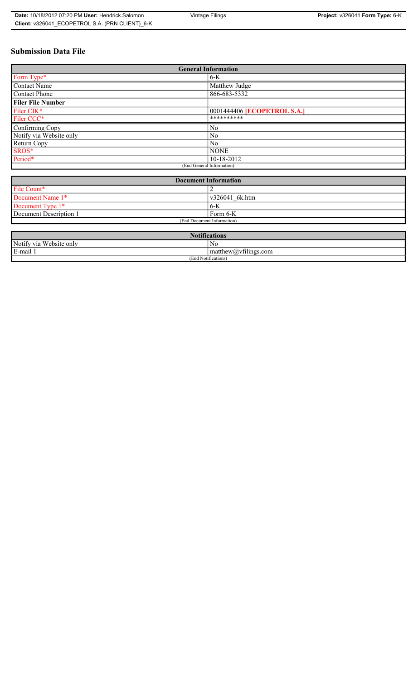# **Submission Data File**

| <b>General Information</b> |                                    |  |  |  |
|----------------------------|------------------------------------|--|--|--|
| Form Type*                 | $6-K$                              |  |  |  |
| Contact Name               | Matthew Judge                      |  |  |  |
| <b>Contact Phone</b>       | 866-683-5332                       |  |  |  |
| <b>Filer File Number</b>   |                                    |  |  |  |
| Filer CIK*                 | 0001444406 <b>[ECOPETROL S.A.]</b> |  |  |  |
| Filer CCC*                 | **********                         |  |  |  |
| Confirming Copy            | No                                 |  |  |  |
| Notify via Website only    | No                                 |  |  |  |
| Return Copy                | N <sub>0</sub>                     |  |  |  |
| SROS*                      | <b>NONE</b>                        |  |  |  |
| Period*                    | 10-18-2012                         |  |  |  |
| (End General Information)  |                                    |  |  |  |

| <b>Document Information</b> |                        |  |  |
|-----------------------------|------------------------|--|--|
| File Count*                 |                        |  |  |
| Document Name 1*            | $\sqrt{226041}$ 6k.htm |  |  |
| Document Type 1*            | 6K                     |  |  |
| Document Description 1      | Form 6-K               |  |  |
| (End Document Information)  |                        |  |  |

| <b>Notifications</b>       |                                                           |  |  |  |
|----------------------------|-----------------------------------------------------------|--|--|--|
| Notify via<br>Website only | N0                                                        |  |  |  |
| E-mail 1<br>$\blacksquare$ | $\sim$ 1.<br>$\lceil$ matthew( <i>a</i> ) $vt1$ lings.com |  |  |  |
| (End Notifications)        |                                                           |  |  |  |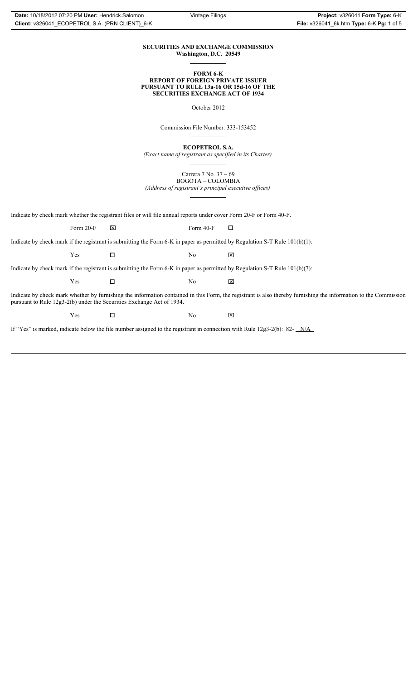### **SECURITIES AND EXCHANGE COMMISSION Washington, D.C. 20549**

#### **FORM 6-K REPORT OF FOREIGN PRIVATE ISSUER PURSUANT TO RULE 13a-16 OR 15d-16 OF THE SECURITIES EXCHANGE ACT OF 1934**

October 2012

Commission File Number: 333-153452

**ECOPETROL S.A.**

*(Exact name of registrant as specified in its Charter)*

Carrera 7 No. 37 – 69 BOGOTA – COLOMBIA

*(Address of registrant's principal executive offices)*

Indicate by check mark whether the registrant files or will file annual reports under cover Form 20-F or Form 40-F.

Form 20-F  $\boxtimes$  Form 40-F  $\Box$ 

Indicate by check mark if the registrant is submitting the Form 6-K in paper as permitted by Regulation S-T Rule 101(b)(1):

 $Yes$   $\Box$   $No$   $X$ 

Indicate by check mark if the registrant is submitting the Form 6-K in paper as permitted by Regulation S-T Rule 101(b)(7):

 $Yes$   $\Box$   $No$   $X$ 

Indicate by check mark whether by furnishing the information contained in this Form, the registrant is also thereby furnishing the information to the Commission pursuant to Rule 12g3-2(b) under the Securities Exchange Act of 1934.

 $Yes$   $\square$ 

If "Yes" is marked, indicate below the file number assigned to the registrant in connection with Rule 12g3-2(b): 82- N/A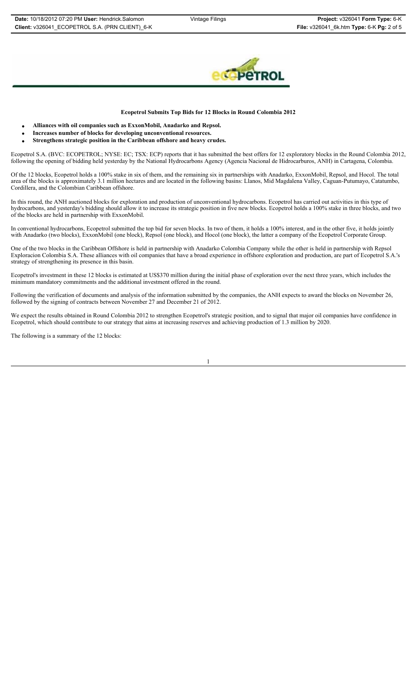

### **Ecopetrol Submits Top Bids for 12 Blocks in Round Colombia 2012**

- x **Alliances with oil companies such as ExxonMobil, Anadarko and Repsol.**
- x **Increases number of blocks for developing unconventional resources.**
- Strengthens strategic position in the Caribbean offshore and heavy crudes.

Ecopetrol S.A. (BVC: ECOPETROL; NYSE: EC; TSX: ECP) reports that it has submitted the best offers for 12 exploratory blocks in the Round Colombia 2012, following the opening of bidding held yesterday by the National Hydrocarbons Agency (Agencia Nacional de Hidrocarburos, ANH) in Cartagena, Colombia.

Of the 12 blocks, Ecopetrol holds a 100% stake in six of them, and the remaining six in partnerships with Anadarko, ExxonMobil, Repsol, and Hocol. The total area of the blocks is approximately 3.1 million hectares and are located in the following basins: Llanos, Mid Magdalena Valley, Caguan-Putumayo, Catatumbo, Cordillera, and the Colombian Caribbean offshore.

In this round, the ANH auctioned blocks for exploration and production of unconventional hydrocarbons. Ecopetrol has carried out activities in this type of hydrocarbons, and yesterday's bidding should allow it to increase its strategic position in five new blocks. Ecopetrol holds a 100% stake in three blocks, and two of the blocks are held in partnership with ExxonMobil.

In conventional hydrocarbons, Ecopetrol submitted the top bid for seven blocks. In two of them, it holds a 100% interest, and in the other five, it holds jointly with Anadarko (two blocks), ExxonMobil (one block), Repsol (one block), and Hocol (one block), the latter a company of the Ecopetrol Corporate Group.

One of the two blocks in the Caribbean Offshore is held in partnership with Anadarko Colombia Company while the other is held in partnership with Repsol Exploracion Colombia S.A. These alliances with oil companies that have a broad experience in offshore exploration and production, are part of Ecopetrol S.A.'s strategy of strengthening its presence in this basin.

Ecopetrol's investment in these 12 blocks is estimated at US\$370 million during the initial phase of exploration over the next three years, which includes the minimum mandatory commitments and the additional investment offered in the round.

Following the verification of documents and analysis of the information submitted by the companies, the ANH expects to award the blocks on November 26, followed by the signing of contracts between November 27 and December 21 of 2012.

We expect the results obtained in Round Colombia 2012 to strengthen Ecopetrol's strategic position, and to signal that major oil companies have confidence in Ecopetrol, which should contribute to our strategy that aims at increasing reserves and achieving production of 1.3 million by 2020.

The following is a summary of the 12 blocks:

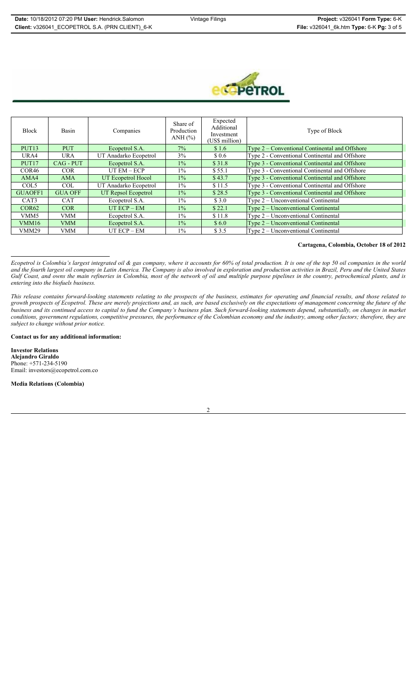

| <b>Block</b>      | Basin          | Companies             | Share of<br>Production<br>ANH $(\% )$ | Expected<br>Additional<br>Investment<br>(US\$ million) | Type of Block                                  |
|-------------------|----------------|-----------------------|---------------------------------------|--------------------------------------------------------|------------------------------------------------|
| PUT <sub>13</sub> | <b>PUT</b>     | Ecopetrol S.A.        | $7\%$                                 | \$1.6                                                  | Type 2 – Conventional Continental and Offshore |
| URA4              | <b>URA</b>     | UT Anadarko Ecopetrol | 3%                                    | \$0.6                                                  | Type 2 - Conventional Continental and Offshore |
| PUT <sub>17</sub> | CAG - PUT      | Ecopetrol S.A.        | $1\%$                                 | \$31.8                                                 | Type 3 - Conventional Continental and Offshore |
| COR <sub>46</sub> | <b>COR</b>     | $UT EM - ECP$         | $1\%$                                 | \$55.1                                                 | Type 3 - Conventional Continental and Offshore |
| AMA4              | <b>AMA</b>     | UT Ecopetrol Hocol    | $1\%$                                 | \$43.7                                                 | Type 3 - Conventional Continental and Offshore |
| COL <sub>5</sub>  | <b>COL</b>     | UT Anadarko Ecopetrol | $1\%$                                 | \$11.5                                                 | Type 3 - Conventional Continental and Offshore |
| <b>GUAOFF1</b>    | <b>GUA OFF</b> | UT Repsol Ecopetrol   | $1\%$                                 | \$28.5                                                 | Type 3 - Conventional Continental and Offshore |
| CAT <sub>3</sub>  | <b>CAT</b>     | Ecopetrol S.A.        | $1\%$                                 | \$3.0                                                  | Type 2 – Unconventional Continental            |
| COR62             | <b>COR</b>     | $UT ECP - EM$         | $1\%$                                 | \$22.1                                                 | $Type 2-Unconventional Continental$            |
| VMM5              | <b>VMM</b>     | Ecopetrol S.A.        | $1\%$                                 | \$11.8                                                 | Type 2 – Unconventional Continental            |
| VMM16             | <b>VMM</b>     | Ecopetrol S.A.        | $1\%$                                 | \$6.0                                                  | $Type 2-Unconventional Continental$            |
| <b>VMM29</b>      | <b>VMM</b>     | $UT ECP - EM$         | $1\%$                                 | \$3.5                                                  | Type 2 – Unconventional Continental            |

### **Cartagena, Colombia, October 18 of 2012**

*Ecopetrol is Colombia's largest integrated oil & gas company, where it accounts for 60% of total production. It is one of the top 50 oil companies in the world and the fourth largest oil company in Latin America. The Company is also involved in exploration and production activities in Brazil, Peru and the United States Gulf Coast, and owns the main refineries in Colombia, most of the network of oil and multiple purpose pipelines in the country, petrochemical plants, and is entering into the biofuels business.* 

*This release contains forward-looking statements relating to the prospects of the business, estimates for operating and financial results, and those related to growth prospects of Ecopetrol. These are merely projections and, as such, are based exclusively on the expectations of management concerning the future of the business and its continued access to capital to fund the Company's business plan. Such forward-looking statements depend, substantially, on changes in market conditions, government regulations, competitive pressures, the performance of the Colombian economy and the industry, among other factors; therefore, they are subject to change without prior notice.*

### **Contact us for any additional information:**

**Investor Relations Alejandro Giraldo**  Phone: +571-234-5190 Email: investors@ecopetrol.com.co

**Media Relations (Colombia)** 

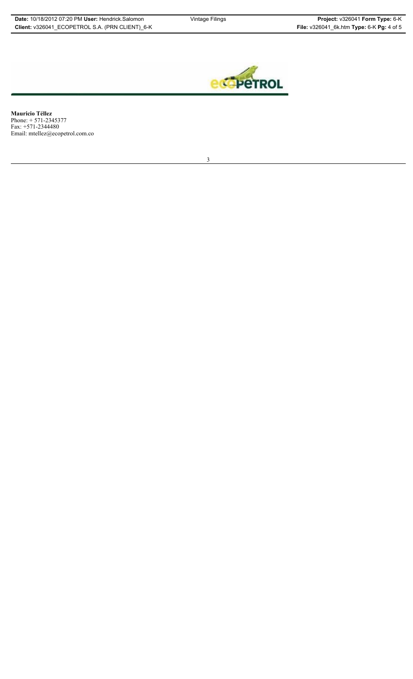

**Mauricio Téllez**  Phone: + 571-2345377 Fax: +571-2344480 Email: mtellez@ecopetrol.com.co